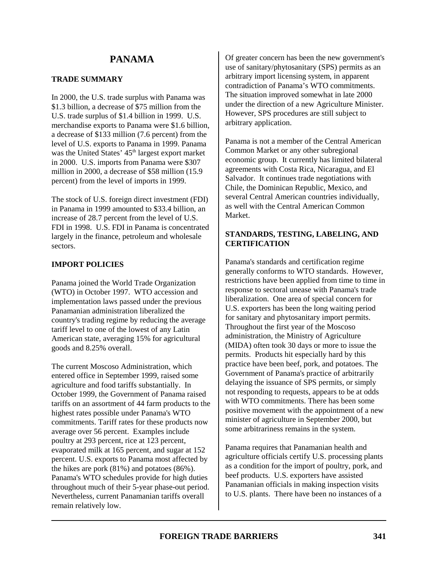# **TRADE SUMMARY**

In 2000, the U.S. trade surplus with Panama was \$1.3 billion, a decrease of \$75 million from the U.S. trade surplus of \$1.4 billion in 1999. U.S. merchandise exports to Panama were \$1.6 billion, a decrease of \$133 million (7.6 percent) from the level of U.S. exports to Panama in 1999. Panama was the United States' 45<sup>th</sup> largest export market in 2000. U.S. imports from Panama were \$307 million in 2000, a decrease of \$58 million (15.9 percent) from the level of imports in 1999.

The stock of U.S. foreign direct investment (FDI) in Panama in 1999 amounted to \$33.4 billion, an increase of 28.7 percent from the level of U.S. FDI in 1998. U.S. FDI in Panama is concentrated largely in the finance, petroleum and wholesale sectors.

# **IMPORT POLICIES**

Panama joined the World Trade Organization (WTO) in October 1997. WTO accession and implementation laws passed under the previous Panamanian administration liberalized the country's trading regime by reducing the average tariff level to one of the lowest of any Latin American state, averaging 15% for agricultural goods and 8.25% overall.

The current Moscoso Administration, which entered office in September 1999, raised some agriculture and food tariffs substantially. In October 1999, the Government of Panama raised tariffs on an assortment of 44 farm products to the highest rates possible under Panama's WTO commitments. Tariff rates for these products now average over 56 percent. Examples include poultry at 293 percent, rice at 123 percent, evaporated milk at 165 percent, and sugar at 152 percent. U.S. exports to Panama most affected by the hikes are pork (81%) and potatoes (86%). Panama's WTO schedules provide for high duties throughout much of their 5-year phase-out period. Nevertheless, current Panamanian tariffs overall remain relatively low.

Of greater concern has been the new government's use of sanitary/phytosanitary (SPS) permits as an arbitrary import licensing system, in apparent contradiction of Panama's WTO commitments. The situation improved somewhat in late 2000 under the direction of a new Agriculture Minister. However, SPS procedures are still subject to arbitrary application.

Panama is not a member of the Central American Common Market or any other subregional economic group. It currently has limited bilateral agreements with Costa Rica, Nicaragua, and El Salvador. It continues trade negotiations with Chile, the Dominican Republic, Mexico, and several Central American countries individually, as well with the Central American Common Market.

# **STANDARDS, TESTING, LABELING, AND CERTIFICATION**

Panama's standards and certification regime generally conforms to WTO standards. However, restrictions have been applied from time to time in response to sectoral unease with Panama's trade liberalization. One area of special concern for U.S. exporters has been the long waiting period for sanitary and phytosanitary import permits. Throughout the first year of the Moscoso administration, the Ministry of Agriculture (MIDA) often took 30 days or more to issue the permits. Products hit especially hard by this practice have been beef, pork, and potatoes. The Government of Panama's practice of arbitrarily delaying the issuance of SPS permits, or simply not responding to requests, appears to be at odds with WTO commitments. There has been some positive movement with the appointment of a new minister of agriculture in September 2000, but some arbitrariness remains in the system.

Panama requires that Panamanian health and agriculture officials certify U.S. processing plants as a condition for the import of poultry, pork, and beef products. U.S. exporters have assisted Panamanian officials in making inspection visits to U.S. plants. There have been no instances of a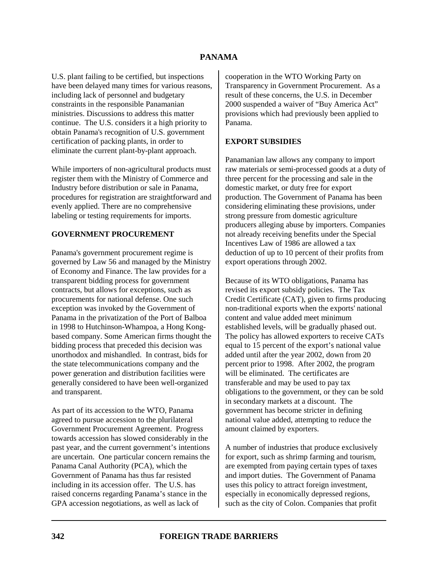U.S. plant failing to be certified, but inspections have been delayed many times for various reasons, including lack of personnel and budgetary constraints in the responsible Panamanian ministries. Discussions to address this matter continue. The U.S. considers it a high priority to obtain Panama's recognition of U.S. government certification of packing plants, in order to eliminate the current plant-by-plant approach.

While importers of non-agricultural products must register them with the Ministry of Commerce and Industry before distribution or sale in Panama, procedures for registration are straightforward and evenly applied. There are no comprehensive labeling or testing requirements for imports.

#### **GOVERNMENT PROCUREMENT**

Panama's government procurement regime is governed by Law 56 and managed by the Ministry of Economy and Finance. The law provides for a transparent bidding process for government contracts, but allows for exceptions, such as procurements for national defense. One such exception was invoked by the Government of Panama in the privatization of the Port of Balboa in 1998 to Hutchinson-Whampoa, a Hong Kongbased company. Some American firms thought the bidding process that preceded this decision was unorthodox and mishandled. In contrast, bids for the state telecommunications company and the power generation and distribution facilities were generally considered to have been well-organized and transparent.

As part of its accession to the WTO, Panama agreed to pursue accession to the plurilateral Government Procurement Agreement. Progress towards accession has slowed considerably in the past year, and the current government's intentions are uncertain. One particular concern remains the Panama Canal Authority (PCA), which the Government of Panama has thus far resisted including in its accession offer. The U.S. has raised concerns regarding Panama's stance in the GPA accession negotiations, as well as lack of

cooperation in the WTO Working Party on Transparency in Government Procurement. As a result of these concerns, the U.S. in December 2000 suspended a waiver of "Buy America Act" provisions which had previously been applied to Panama.

#### **EXPORT SUBSIDIES**

Panamanian law allows any company to import raw materials or semi-processed goods at a duty of three percent for the processing and sale in the domestic market, or duty free for export production. The Government of Panama has been considering eliminating these provisions, under strong pressure from domestic agriculture producers alleging abuse by importers. Companies not already receiving benefits under the Special Incentives Law of 1986 are allowed a tax deduction of up to 10 percent of their profits from export operations through 2002.

Because of its WTO obligations, Panama has revised its export subsidy policies. The Tax Credit Certificate (CAT), given to firms producing non-traditional exports when the exports' national content and value added meet minimum established levels, will be gradually phased out. The policy has allowed exporters to receive CATs equal to 15 percent of the export's national value added until after the year 2002, down from 20 percent prior to 1998. After 2002, the program will be eliminated. The certificates are transferable and may be used to pay tax obligations to the government, or they can be sold in secondary markets at a discount. The government has become stricter in defining national value added, attempting to reduce the amount claimed by exporters.

A number of industries that produce exclusively for export, such as shrimp farming and tourism, are exempted from paying certain types of taxes and import duties. The Government of Panama uses this policy to attract foreign investment, especially in economically depressed regions, such as the city of Colon. Companies that profit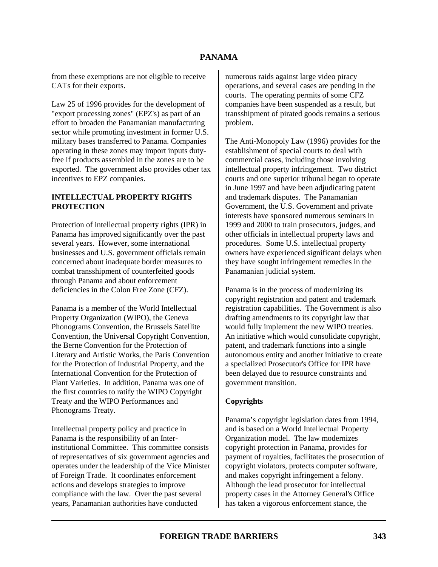from these exemptions are not eligible to receive CATs for their exports.

Law 25 of 1996 provides for the development of "export processing zones" (EPZ's) as part of an effort to broaden the Panamanian manufacturing sector while promoting investment in former U.S. military bases transferred to Panama. Companies operating in these zones may import inputs dutyfree if products assembled in the zones are to be exported. The government also provides other tax incentives to EPZ companies.

# **INTELLECTUAL PROPERTY RIGHTS PROTECTION**

Protection of intellectual property rights (IPR) in Panama has improved significantly over the past several years. However, some international businesses and U.S. government officials remain concerned about inadequate border measures to combat transshipment of counterfeited goods through Panama and about enforcement deficiencies in the Colon Free Zone (CFZ).

Panama is a member of the World Intellectual Property Organization (WIPO), the Geneva Phonograms Convention, the Brussels Satellite Convention, the Universal Copyright Convention, the Berne Convention for the Protection of Literary and Artistic Works, the Paris Convention for the Protection of Industrial Property, and the International Convention for the Protection of Plant Varieties. In addition, Panama was one of the first countries to ratify the WIPO Copyright Treaty and the WIPO Performances and Phonograms Treaty.

Intellectual property policy and practice in Panama is the responsibility of an Interinstitutional Committee. This committee consists of representatives of six government agencies and operates under the leadership of the Vice Minister of Foreign Trade. It coordinates enforcement actions and develops strategies to improve compliance with the law. Over the past several years, Panamanian authorities have conducted

numerous raids against large video piracy operations, and several cases are pending in the courts. The operating permits of some CFZ companies have been suspended as a result, but transshipment of pirated goods remains a serious problem.

The Anti-Monopoly Law (1996) provides for the establishment of special courts to deal with commercial cases, including those involving intellectual property infringement. Two district courts and one superior tribunal began to operate in June 1997 and have been adjudicating patent and trademark disputes. The Panamanian Government, the U.S. Government and private interests have sponsored numerous seminars in 1999 and 2000 to train prosecutors, judges, and other officials in intellectual property laws and procedures. Some U.S. intellectual property owners have experienced significant delays when they have sought infringement remedies in the Panamanian judicial system.

Panama is in the process of modernizing its copyright registration and patent and trademark registration capabilities. The Government is also drafting amendments to its copyright law that would fully implement the new WIPO treaties. An initiative which would consolidate copyright, patent, and trademark functions into a single autonomous entity and another initiative to create a specialized Prosecutor's Office for IPR have been delayed due to resource constraints and government transition.

# **Copyrights**

Panama's copyright legislation dates from 1994, and is based on a World Intellectual Property Organization model. The law modernizes copyright protection in Panama, provides for payment of royalties, facilitates the prosecution of copyright violators, protects computer software, and makes copyright infringement a felony. Although the lead prosecutor for intellectual property cases in the Attorney General's Office has taken a vigorous enforcement stance, the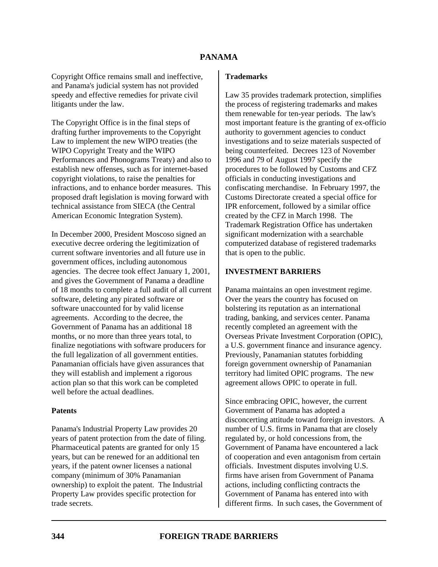Copyright Office remains small and ineffective, and Panama's judicial system has not provided speedy and effective remedies for private civil litigants under the law.

The Copyright Office is in the final steps of drafting further improvements to the Copyright Law to implement the new WIPO treaties (the WIPO Copyright Treaty and the WIPO Performances and Phonograms Treaty) and also to establish new offenses, such as for internet-based copyright violations, to raise the penalties for infractions, and to enhance border measures. This proposed draft legislation is moving forward with technical assistance from SIECA (the Central American Economic Integration System).

In December 2000, President Moscoso signed an executive decree ordering the legitimization of current software inventories and all future use in government offices, including autonomous agencies. The decree took effect January 1, 2001, and gives the Government of Panama a deadline of 18 months to complete a full audit of all current software, deleting any pirated software or software unaccounted for by valid license agreements. According to the decree, the Government of Panama has an additional 18 months, or no more than three years total, to finalize negotiations with software producers for the full legalization of all government entities. Panamanian officials have given assurances that they will establish and implement a rigorous action plan so that this work can be completed well before the actual deadlines.

#### **Patents**

Panama's Industrial Property Law provides 20 years of patent protection from the date of filing. Pharmaceutical patents are granted for only 15 years, but can be renewed for an additional ten years, if the patent owner licenses a national company (minimum of 30% Panamanian ownership) to exploit the patent. The Industrial Property Law provides specific protection for trade secrets.

#### **Trademarks**

Law 35 provides trademark protection, simplifies the process of registering trademarks and makes them renewable for ten-year periods. The law's most important feature is the granting of ex-officio authority to government agencies to conduct investigations and to seize materials suspected of being counterfeited. Decrees 123 of November 1996 and 79 of August 1997 specify the procedures to be followed by Customs and CFZ officials in conducting investigations and confiscating merchandise. In February 1997, the Customs Directorate created a special office for IPR enforcement, followed by a similar office created by the CFZ in March 1998. The Trademark Registration Office has undertaken significant modernization with a searchable computerized database of registered trademarks that is open to the public.

#### **INVESTMENT BARRIERS**

Panama maintains an open investment regime. Over the years the country has focused on bolstering its reputation as an international trading, banking, and services center. Panama recently completed an agreement with the Overseas Private Investment Corporation (OPIC), a U.S. government finance and insurance agency. Previously, Panamanian statutes forbidding foreign government ownership of Panamanian territory had limited OPIC programs. The new agreement allows OPIC to operate in full.

Since embracing OPIC, however, the current Government of Panama has adopted a disconcerting attitude toward foreign investors. A number of U.S. firms in Panama that are closely regulated by, or hold concessions from, the Government of Panama have encountered a lack of cooperation and even antagonism from certain officials. Investment disputes involving U.S. firms have arisen from Government of Panama actions, including conflicting contracts the Government of Panama has entered into with different firms. In such cases, the Government of